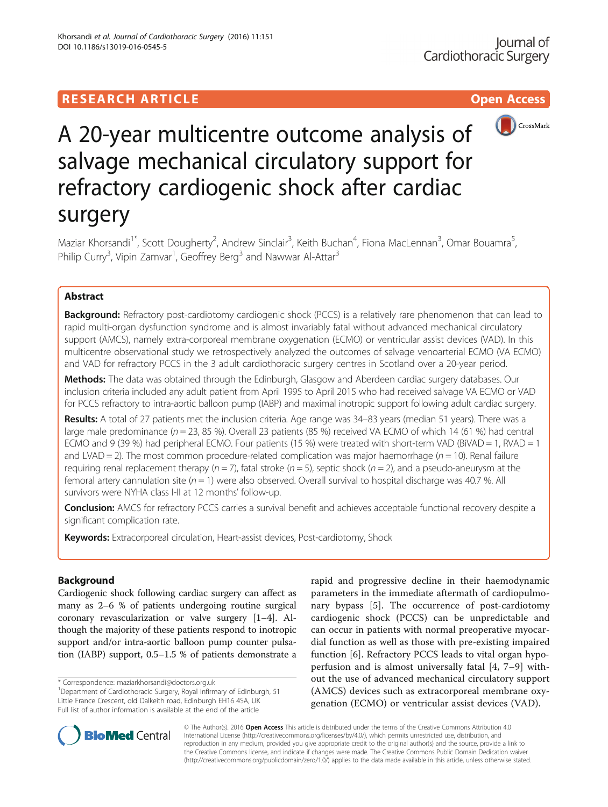

# A 20-year multicentre outcome analysis of salvage mechanical circulatory support for refractory cardiogenic shock after cardiac surgery

Maziar Khorsandi<sup>1\*</sup>, Scott Dougherty<sup>2</sup>, Andrew Sinclair<sup>3</sup>, Keith Buchan<sup>4</sup>, Fiona MacLennan<sup>3</sup>, Omar Bouamra<sup>5</sup> , Philip Curry<sup>3</sup>, Vipin Zamvar<sup>1</sup>, Geoffrey Berg<sup>3</sup> and Nawwar Al-Attar<sup>3</sup>

# Abstract

Background: Refractory post-cardiotomy cardiogenic shock (PCCS) is a relatively rare phenomenon that can lead to rapid multi-organ dysfunction syndrome and is almost invariably fatal without advanced mechanical circulatory support (AMCS), namely extra-corporeal membrane oxygenation (ECMO) or ventricular assist devices (VAD). In this multicentre observational study we retrospectively analyzed the outcomes of salvage venoarterial ECMO (VA ECMO) and VAD for refractory PCCS in the 3 adult cardiothoracic surgery centres in Scotland over a 20-year period.

Methods: The data was obtained through the Edinburgh, Glasgow and Aberdeen cardiac surgery databases. Our inclusion criteria included any adult patient from April 1995 to April 2015 who had received salvage VA ECMO or VAD for PCCS refractory to intra-aortic balloon pump (IABP) and maximal inotropic support following adult cardiac surgery.

Results: A total of 27 patients met the inclusion criteria. Age range was 34–83 years (median 51 years). There was a large male predominance ( $n = 23$ , 85 %). Overall 23 patients (85 %) received VA ECMO of which 14 (61 %) had central ECMO and 9 (39 %) had peripheral ECMO. Four patients (15 %) were treated with short-term VAD (BiVAD = 1, RVAD = 1 and LVAD = 2). The most common procedure-related complication was major haemorrhage ( $n = 10$ ). Renal failure requiring renal replacement therapy ( $n = 7$ ), fatal stroke ( $n = 5$ ), septic shock ( $n = 2$ ), and a pseudo-aneurysm at the femoral artery cannulation site ( $n = 1$ ) were also observed. Overall survival to hospital discharge was 40.7 %. All survivors were NYHA class I-II at 12 months' follow-up.

Conclusion: AMCS for refractory PCCS carries a survival benefit and achieves acceptable functional recovery despite a significant complication rate.

**Keywords:** Extracorporeal circulation, Heart-assist devices, Post-cardiotomy, Shock

# Background

Cardiogenic shock following cardiac surgery can affect as many as 2–6 % of patients undergoing routine surgical coronary revascularization or valve surgery [\[1](#page-8-0)–[4](#page-8-0)]. Although the majority of these patients respond to inotropic support and/or intra-aortic balloon pump counter pulsation (IABP) support, 0.5–1.5 % of patients demonstrate a

\* Correspondence: [maziarkhorsandi@doctors.org.uk](mailto:maziarkhorsandi@doctors.org.uk) <sup>1</sup>

rapid and progressive decline in their haemodynamic parameters in the immediate aftermath of cardiopulmonary bypass [\[5](#page-8-0)]. The occurrence of post-cardiotomy cardiogenic shock (PCCS) can be unpredictable and can occur in patients with normal preoperative myocardial function as well as those with pre-existing impaired function [[6\]](#page-8-0). Refractory PCCS leads to vital organ hypoperfusion and is almost universally fatal [\[4](#page-8-0), [7](#page-8-0)–[9\]](#page-8-0) without the use of advanced mechanical circulatory support (AMCS) devices such as extracorporeal membrane oxygenation (ECMO) or ventricular assist devices (VAD).



© The Author(s). 2016 Open Access This article is distributed under the terms of the Creative Commons Attribution 4.0 International License [\(http://creativecommons.org/licenses/by/4.0/](http://creativecommons.org/licenses/by/4.0/)), which permits unrestricted use, distribution, and reproduction in any medium, provided you give appropriate credit to the original author(s) and the source, provide a link to the Creative Commons license, and indicate if changes were made. The Creative Commons Public Domain Dedication waiver [\(http://creativecommons.org/publicdomain/zero/1.0/](http://creativecommons.org/publicdomain/zero/1.0/)) applies to the data made available in this article, unless otherwise stated.

<sup>&</sup>lt;sup>1</sup>Department of Cardiothoracic Surgery, Royal Infirmary of Edinburgh, 51 Little France Crescent, old Dalkeith road, Edinburgh EH16 4SA, UK Full list of author information is available at the end of the article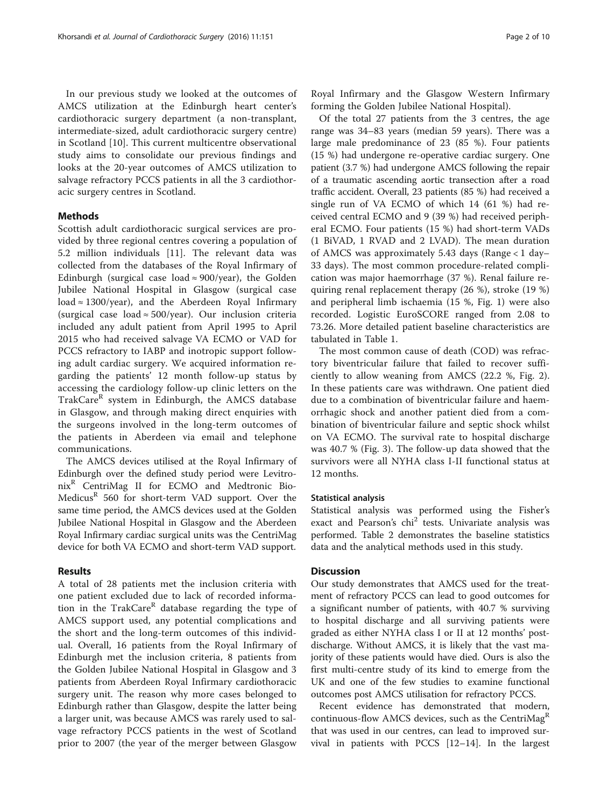In our previous study we looked at the outcomes of AMCS utilization at the Edinburgh heart center's cardiothoracic surgery department (a non-transplant, intermediate-sized, adult cardiothoracic surgery centre) in Scotland [\[10](#page-8-0)]. This current multicentre observational study aims to consolidate our previous findings and looks at the 20-year outcomes of AMCS utilization to salvage refractory PCCS patients in all the 3 cardiothoracic surgery centres in Scotland.

## Methods

Scottish adult cardiothoracic surgical services are provided by three regional centres covering a population of 5.2 million individuals [\[11](#page-8-0)]. The relevant data was collected from the databases of the Royal Infirmary of Edinburgh (surgical case load  $\approx$  900/year), the Golden Jubilee National Hospital in Glasgow (surgical case load  $\approx$  1300/year), and the Aberdeen Royal Infirmary (surgical case load  $\approx$  500/year). Our inclusion criteria included any adult patient from April 1995 to April 2015 who had received salvage VA ECMO or VAD for PCCS refractory to IABP and inotropic support following adult cardiac surgery. We acquired information regarding the patients' 12 month follow-up status by accessing the cardiology follow-up clinic letters on the TrakCare<sup>R</sup> system in Edinburgh, the AMCS database in Glasgow, and through making direct enquiries with the surgeons involved in the long-term outcomes of the patients in Aberdeen via email and telephone communications.

The AMCS devices utilised at the Royal Infirmary of Edinburgh over the defined study period were Levitro $nix^R$  CentriMag II for ECMO and Medtronic Bio-Medicus<sup>R</sup> 560 for short-term VAD support. Over the same time period, the AMCS devices used at the Golden Jubilee National Hospital in Glasgow and the Aberdeen Royal Infirmary cardiac surgical units was the CentriMag device for both VA ECMO and short-term VAD support.

## Results

A total of 28 patients met the inclusion criteria with one patient excluded due to lack of recorded information in the TrakCare $R$  database regarding the type of AMCS support used, any potential complications and the short and the long-term outcomes of this individual. Overall, 16 patients from the Royal Infirmary of Edinburgh met the inclusion criteria, 8 patients from the Golden Jubilee National Hospital in Glasgow and 3 patients from Aberdeen Royal Infirmary cardiothoracic surgery unit. The reason why more cases belonged to Edinburgh rather than Glasgow, despite the latter being a larger unit, was because AMCS was rarely used to salvage refractory PCCS patients in the west of Scotland prior to 2007 (the year of the merger between Glasgow forming the Golden Jubilee National Hospital).

Of the total 27 patients from the 3 centres, the age range was 34–83 years (median 59 years). There was a large male predominance of 23 (85 %). Four patients (15 %) had undergone re-operative cardiac surgery. One patient (3.7 %) had undergone AMCS following the repair of a traumatic ascending aortic transection after a road traffic accident. Overall, 23 patients (85 %) had received a single run of VA ECMO of which 14 (61 %) had received central ECMO and 9 (39 %) had received peripheral ECMO. Four patients (15 %) had short-term VADs (1 BiVAD, 1 RVAD and 2 LVAD). The mean duration of AMCS was approximately 5.43 days (Range < 1 day– 33 days). The most common procedure-related complication was major haemorrhage (37 %). Renal failure requiring renal replacement therapy (26 %), stroke (19 %) and peripheral limb ischaemia (15 %, Fig. [1\)](#page-2-0) were also recorded. Logistic EuroSCORE ranged from 2.08 to 73.26. More detailed patient baseline characteristics are tabulated in Table [1.](#page-3-0)

The most common cause of death (COD) was refractory biventricular failure that failed to recover sufficiently to allow weaning from AMCS (22.2 %, Fig. [2](#page-6-0)). In these patients care was withdrawn. One patient died due to a combination of biventricular failure and haemorrhagic shock and another patient died from a combination of biventricular failure and septic shock whilst on VA ECMO. The survival rate to hospital discharge was 40.7 % (Fig. [3\)](#page-6-0). The follow-up data showed that the survivors were all NYHA class I-II functional status at 12 months.

## Statistical analysis

Statistical analysis was performed using the Fisher's exact and Pearson's chi<sup>2</sup> tests. Univariate analysis was performed. Table [2](#page-7-0) demonstrates the baseline statistics data and the analytical methods used in this study.

## **Discussion**

Our study demonstrates that AMCS used for the treatment of refractory PCCS can lead to good outcomes for a significant number of patients, with 40.7 % surviving to hospital discharge and all surviving patients were graded as either NYHA class I or II at 12 months' postdischarge. Without AMCS, it is likely that the vast majority of these patients would have died. Ours is also the first multi-centre study of its kind to emerge from the UK and one of the few studies to examine functional outcomes post AMCS utilisation for refractory PCCS.

Recent evidence has demonstrated that modern, continuous-flow AMCS devices, such as the CentriMag<sup>R</sup> that was used in our centres, can lead to improved survival in patients with PCCS [\[12](#page-8-0)–[14\]](#page-8-0). In the largest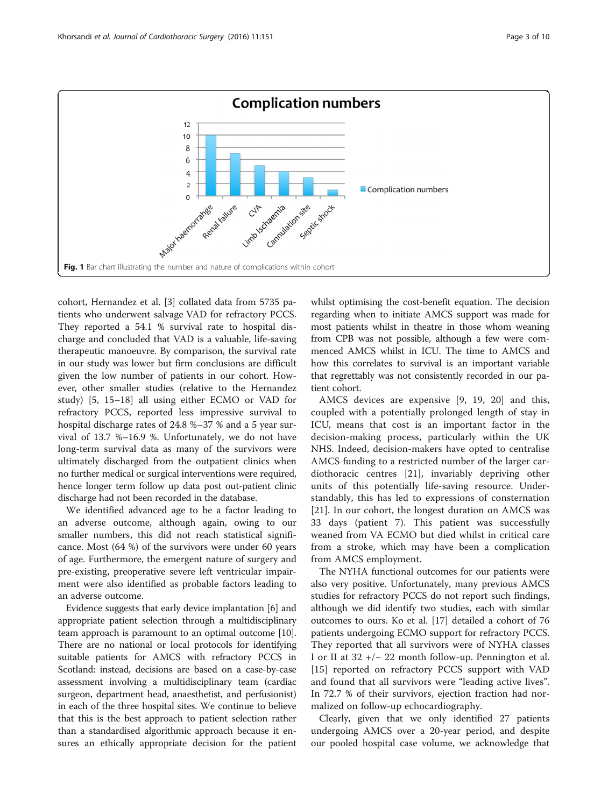<span id="page-2-0"></span>

cohort, Hernandez et al. [[3\]](#page-8-0) collated data from 5735 patients who underwent salvage VAD for refractory PCCS. They reported a 54.1 % survival rate to hospital discharge and concluded that VAD is a valuable, life-saving therapeutic manoeuvre. By comparison, the survival rate in our study was lower but firm conclusions are difficult given the low number of patients in our cohort. However, other smaller studies (relative to the Hernandez study) [[5, 15](#page-8-0)–[18\]](#page-8-0) all using either ECMO or VAD for refractory PCCS, reported less impressive survival to hospital discharge rates of 24.8 %–37 % and a 5 year survival of 13.7 %–16.9 %. Unfortunately, we do not have long-term survival data as many of the survivors were ultimately discharged from the outpatient clinics when no further medical or surgical interventions were required, hence longer term follow up data post out-patient clinic discharge had not been recorded in the database.

We identified advanced age to be a factor leading to an adverse outcome, although again, owing to our smaller numbers, this did not reach statistical significance. Most (64 %) of the survivors were under 60 years of age. Furthermore, the emergent nature of surgery and pre-existing, preoperative severe left ventricular impairment were also identified as probable factors leading to an adverse outcome.

Evidence suggests that early device implantation [[6\]](#page-8-0) and appropriate patient selection through a multidisciplinary team approach is paramount to an optimal outcome [[10](#page-8-0)]. There are no national or local protocols for identifying suitable patients for AMCS with refractory PCCS in Scotland: instead, decisions are based on a case-by-case assessment involving a multidisciplinary team (cardiac surgeon, department head, anaesthetist, and perfusionist) in each of the three hospital sites. We continue to believe that this is the best approach to patient selection rather than a standardised algorithmic approach because it ensures an ethically appropriate decision for the patient whilst optimising the cost-benefit equation. The decision regarding when to initiate AMCS support was made for most patients whilst in theatre in those whom weaning from CPB was not possible, although a few were commenced AMCS whilst in ICU. The time to AMCS and how this correlates to survival is an important variable that regrettably was not consistently recorded in our patient cohort.

AMCS devices are expensive [[9](#page-8-0), [19](#page-9-0), [20\]](#page-9-0) and this, coupled with a potentially prolonged length of stay in ICU, means that cost is an important factor in the decision-making process, particularly within the UK NHS. Indeed, decision-makers have opted to centralise AMCS funding to a restricted number of the larger cardiothoracic centres [\[21](#page-9-0)], invariably depriving other units of this potentially life-saving resource. Understandably, this has led to expressions of consternation [[21\]](#page-9-0). In our cohort, the longest duration on AMCS was 33 days (patient 7). This patient was successfully weaned from VA ECMO but died whilst in critical care from a stroke, which may have been a complication from AMCS employment.

The NYHA functional outcomes for our patients were also very positive. Unfortunately, many previous AMCS studies for refractory PCCS do not report such findings, although we did identify two studies, each with similar outcomes to ours. Ko et al. [\[17](#page-8-0)] detailed a cohort of 76 patients undergoing ECMO support for refractory PCCS. They reported that all survivors were of NYHA classes I or II at 32 +/− 22 month follow-up. Pennington et al. [[15](#page-8-0)] reported on refractory PCCS support with VAD and found that all survivors were "leading active lives". In 72.7 % of their survivors, ejection fraction had normalized on follow-up echocardiography.

Clearly, given that we only identified 27 patients undergoing AMCS over a 20-year period, and despite our pooled hospital case volume, we acknowledge that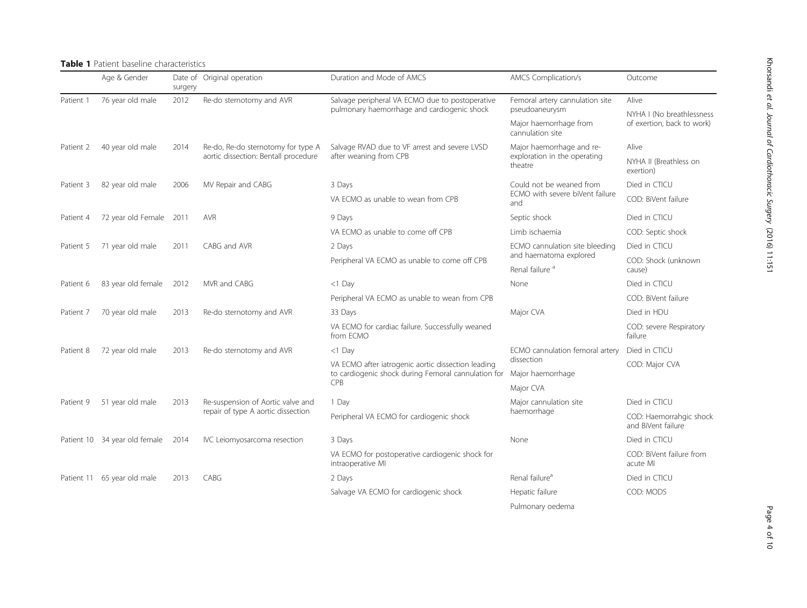## <span id="page-3-0"></span>Table 1 Patient baseline characteristics

|            | Age & Gender                         | surgery      | Date of Original operation                                                                          | Duration and Mode of AMCS                                                                                                 | <b>AMCS Complication/s</b>                                                             | Outcome                                                 |  |
|------------|--------------------------------------|--------------|-----------------------------------------------------------------------------------------------------|---------------------------------------------------------------------------------------------------------------------------|----------------------------------------------------------------------------------------|---------------------------------------------------------|--|
| Patient 1  | 76 year old male                     | 2012         | Re-do sternotomy and AVR                                                                            | Salvage peripheral VA ECMO due to postoperative<br>pulmonary haemorrhage and cardiogenic shock                            | Femoral artery cannulation site                                                        | Alive                                                   |  |
|            |                                      |              |                                                                                                     |                                                                                                                           | pseudoaneurysm<br>Major haemorrhage from<br>cannulation site                           | NYHA I (No breathlessness<br>of exertion, back to work) |  |
| Patient 2  | 40 year old male                     | 2014         | Re-do, Re-do sternotomy for type A<br>aortic dissection: Bentall procedure                          | Salvage RVAD due to VF arrest and severe LVSD<br>after weaning from CPB                                                   | Major haemorrhage and re-<br>exploration in the operating<br>theatre                   | Alive                                                   |  |
|            |                                      |              |                                                                                                     |                                                                                                                           |                                                                                        | NYHA II (Breathless on<br>exertion)                     |  |
| Patient 3  | 82 year old male                     | 2006         | MV Repair and CABG                                                                                  | 3 Days                                                                                                                    | Could not be weaned from<br>ECMO with severe biVent failure<br>and                     | Died in CTICU                                           |  |
|            |                                      |              |                                                                                                     | VA ECMO as unable to wean from CPB                                                                                        |                                                                                        | COD: BiVent failure                                     |  |
| Patient 4  | 72 year old Female                   | 2011         | <b>AVR</b>                                                                                          | 9 Days                                                                                                                    | Septic shock                                                                           | Died in CTICU                                           |  |
|            |                                      |              |                                                                                                     | VA ECMO as unable to come off CPB                                                                                         | Limb ischaemia                                                                         | COD: Septic shock                                       |  |
| Patient 5  | 71 year old male                     | 2011         | CABG and AVR                                                                                        | 2 Days                                                                                                                    | ECMO cannulation site bleeding<br>and haematoma explored<br>Renal failure <sup>a</sup> | Died in CTICU                                           |  |
|            |                                      |              |                                                                                                     | Peripheral VA ECMO as unable to come off CPB                                                                              |                                                                                        | COD: Shock (unknown<br>cause)                           |  |
| Patient 6  | 83 year old female                   | 2012         | MVR and CABG                                                                                        | $<$ 1 Day                                                                                                                 | None                                                                                   | Died in CTICU                                           |  |
|            |                                      |              |                                                                                                     | Peripheral VA ECMO as unable to wean from CPB                                                                             |                                                                                        | COD: BiVent failure                                     |  |
| Patient 7  | 70 year old male                     | 2013         | Re-do sternotomy and AVR                                                                            | 33 Days                                                                                                                   | Major CVA                                                                              | Died in HDU                                             |  |
|            |                                      |              |                                                                                                     | VA ECMO for cardiac failure. Successfully weaned<br>from ECMO                                                             |                                                                                        | COD: severe Respiratory<br>failure                      |  |
| Patient 8  | 72 year old male<br>51 year old male | 2013<br>2013 | Re-do sternotomy and AVR<br>Re-suspension of Aortic valve and<br>repair of type A aortic dissection | $<$ 1 Day                                                                                                                 | ECMO cannulation femoral artery<br>dissection                                          | Died in CTICU                                           |  |
|            |                                      |              |                                                                                                     | VA ECMO after iatrogenic aortic dissection leading<br>to cardiogenic shock during Femoral cannulation for<br>CPB<br>1 Day |                                                                                        | COD: Major CVA                                          |  |
| Patient 9  |                                      |              |                                                                                                     |                                                                                                                           | Major haemorrhage                                                                      |                                                         |  |
|            |                                      |              |                                                                                                     |                                                                                                                           | Major CVA                                                                              |                                                         |  |
|            |                                      |              |                                                                                                     |                                                                                                                           | Major cannulation site<br>haemorrhage                                                  | Died in CTICU                                           |  |
|            |                                      |              |                                                                                                     | Peripheral VA ECMO for cardiogenic shock                                                                                  |                                                                                        | COD: Haemorrahgic shock<br>and BiVent failure           |  |
|            | Patient 10 34 year old female        | 2014         | IVC Leiomyosarcoma resection                                                                        | 3 Days                                                                                                                    | None                                                                                   | Died in CTICU                                           |  |
|            |                                      |              |                                                                                                     | VA ECMO for postoperative cardiogenic shock for<br>intraoperative MI                                                      |                                                                                        | COD: BiVent failure from<br>acute MI                    |  |
| Patient 11 | 65 year old male                     | 2013         | CABG                                                                                                | 2 Days                                                                                                                    | Renal failure <sup>a</sup>                                                             | Died in CTICU                                           |  |
|            |                                      |              |                                                                                                     | Salvage VA ECMO for cardiogenic shock                                                                                     | Hepatic failure                                                                        | COD: MODS                                               |  |
|            |                                      |              |                                                                                                     |                                                                                                                           | Pulmonary oedema                                                                       |                                                         |  |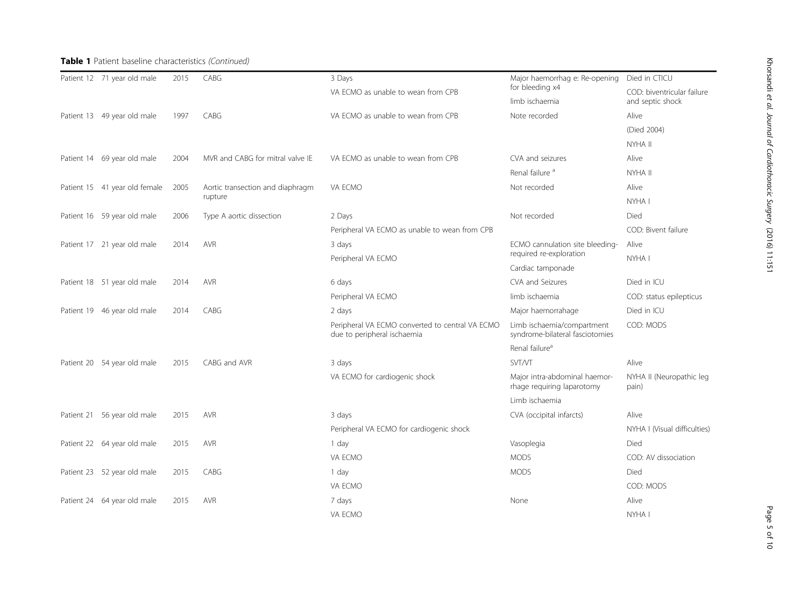# Table 1 Patient baseline characteristics (Continued)

|  | Patient 12 71 year old male   | 2015 | CABG                                        | 3 Days<br>VA ECMO as unable to wean from CPB                                   | Major haemorrhag e: Re-opening<br>for bleeding x4             | Died in CTICU                     |  |
|--|-------------------------------|------|---------------------------------------------|--------------------------------------------------------------------------------|---------------------------------------------------------------|-----------------------------------|--|
|  |                               |      |                                             |                                                                                |                                                               | COD: biventricular failure        |  |
|  |                               |      |                                             |                                                                                | limb ischaemia                                                | and septic shock                  |  |
|  | Patient 13 49 year old male   | 1997 | CABG                                        | VA ECMO as unable to wean from CPB                                             | Note recorded                                                 | Alive                             |  |
|  |                               |      |                                             |                                                                                |                                                               | (Died 2004)                       |  |
|  |                               |      |                                             |                                                                                |                                                               | NYHA II                           |  |
|  | Patient 14 69 year old male   | 2004 | MVR and CABG for mitral valve IE            | VA ECMO as unable to wean from CPB                                             | CVA and seizures                                              | Alive                             |  |
|  |                               |      |                                             |                                                                                | Renal failure <sup>a</sup>                                    | NYHA II                           |  |
|  | Patient 15 41 year old female | 2005 | Aortic transection and diaphragm<br>rupture | VA ECMO                                                                        | Not recorded                                                  | Alive                             |  |
|  |                               |      |                                             |                                                                                |                                                               | NYHA I                            |  |
|  | Patient 16 59 year old male   | 2006 | Type A aortic dissection                    | 2 Days                                                                         | Not recorded                                                  | Died                              |  |
|  |                               |      |                                             | Peripheral VA ECMO as unable to wean from CPB                                  |                                                               | COD: Bivent failure               |  |
|  | Patient 17 21 year old male   | 2014 | <b>AVR</b>                                  | 3 days                                                                         | ECMO cannulation site bleeding-<br>required re-exploration    | Alive                             |  |
|  |                               |      |                                             | Peripheral VA ECMO                                                             |                                                               | NYHA I                            |  |
|  |                               |      |                                             |                                                                                | Cardiac tamponade                                             |                                   |  |
|  | Patient 18 51 year old male   | 2014 | <b>AVR</b>                                  | 6 days                                                                         | CVA and Seizures                                              | Died in ICU                       |  |
|  |                               |      |                                             | Peripheral VA ECMO                                                             | limb ischaemia                                                | COD: status epilepticus           |  |
|  | Patient 19 46 year old male   | 2014 | CABG                                        | 2 days                                                                         | Major haemorrahage                                            | Died in ICU                       |  |
|  |                               |      |                                             | Peripheral VA ECMO converted to central VA ECMO<br>due to peripheral ischaemia | Limb ischaemia/compartment<br>syndrome-bilateral fasciotomies | COD: MODS                         |  |
|  |                               |      |                                             |                                                                                | Renal failure <sup>a</sup>                                    |                                   |  |
|  | Patient 20 54 year old male   | 2015 | CABG and AVR                                | 3 days                                                                         | <b>SVT/VT</b>                                                 | Alive                             |  |
|  |                               |      |                                             | VA ECMO for cardiogenic shock                                                  | Major intra-abdominal haemor-<br>rhage requiring laparotomy   | NYHA II (Neuropathic leg<br>pain) |  |
|  |                               |      |                                             |                                                                                | Limb ischaemia                                                |                                   |  |
|  | Patient 21 56 year old male   | 2015 | <b>AVR</b>                                  | 3 days                                                                         | CVA (occipital infarcts)                                      | Alive                             |  |
|  |                               |      |                                             | Peripheral VA ECMO for cardiogenic shock                                       |                                                               | NYHA I (Visual difficulties)      |  |
|  | Patient 22 64 year old male   | 2015 | <b>AVR</b>                                  | 1 day                                                                          | Vasoplegia                                                    | Died                              |  |
|  |                               |      |                                             | VA ECMO                                                                        | <b>MODS</b>                                                   | COD: AV dissociation              |  |
|  | Patient 23 52 year old male   | 2015 | CABG                                        | 1 day                                                                          | <b>MODS</b>                                                   | Died                              |  |
|  |                               |      |                                             | VA ECMO                                                                        |                                                               | COD: MODS                         |  |
|  | Patient 24 64 year old male   | 2015 | <b>AVR</b>                                  | 7 days                                                                         | None                                                          | Alive                             |  |
|  |                               |      |                                             | VA ECMO                                                                        |                                                               | NYHA I                            |  |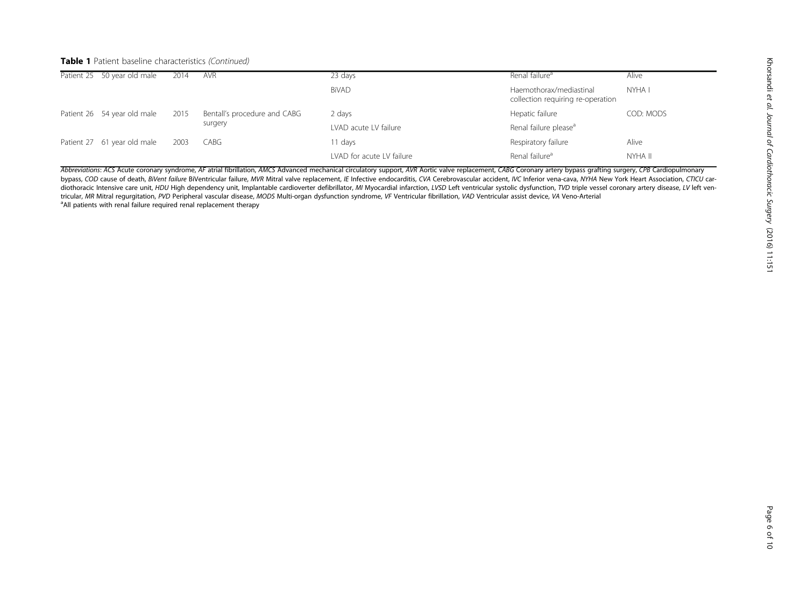# Table 1 Patient baseline characteristics (Continued)

| Patient 25 50 year old male | 2014 | <b>AVR</b>                   | 23 days                   | Renal failure <sup>a</sup>                                   | Alive     |
|-----------------------------|------|------------------------------|---------------------------|--------------------------------------------------------------|-----------|
|                             |      |                              | <b>BiVAD</b>              | Haemothorax/mediastinal<br>collection requiring re-operation | NYHA I    |
| Patient 26 54 year old male | 2015 | Bentall's procedure and CABG | 2 days                    | Hepatic failure                                              | COD: MODS |
|                             |      | surgery                      | LVAD acute LV failure     | Renal failure please <sup>a</sup>                            |           |
| Patient 27 61 year old male | 2003 | CABG                         | 11 days                   | Respiratory failure                                          | Alive     |
|                             |      |                              | LVAD for acute LV failure | Renal failure <sup>a</sup>                                   | NYHA II   |

Abbreviations: ACS Acute coronary syndrome, AF atrial fibrillation, AMCS Advanced mechanical circulatory support, AVR Aortic valve replacement, CABG Coronary artery bypass grafting surgery, CPB Cardiopulmonary bypass, COD cause of death, BiVent failure BiVentricular failure, MVR Mitral valve replacement, IE Infective endocarditis, CVA Cerebrovascular accident, IVC Inferior vena-cava, NYHA New York Heart Association, CTICU cardiothoracic Intensive care unit, HDU High dependency unit, Implantable cardioverter defibrillator, MI Myocardial infarction, LVSD Left ventricular systolic dysfunction, TVD triple vessel coronary artery disease, LV left ve tricular, MR Mitral regurgitation, PVD Peripheral vascular disease, MODS Multi-organ dysfunction syndrome, VF Ventricular fibrillation, VAD Ventricular assist device, VA Veno-Arterial <sup>a</sup> All patients with renal failure required renal replacement therapy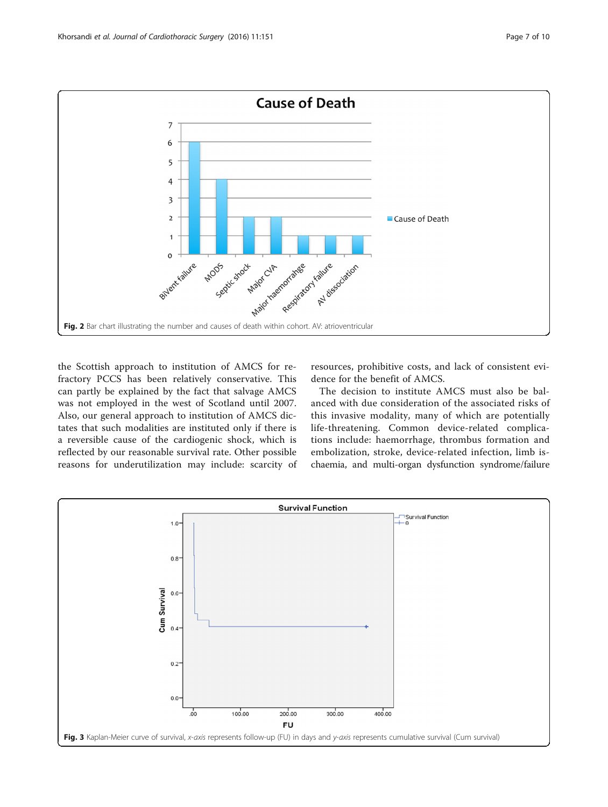<span id="page-6-0"></span>

the Scottish approach to institution of AMCS for refractory PCCS has been relatively conservative. This can partly be explained by the fact that salvage AMCS was not employed in the west of Scotland until 2007. Also, our general approach to institution of AMCS dictates that such modalities are instituted only if there is a reversible cause of the cardiogenic shock, which is reflected by our reasonable survival rate. Other possible reasons for underutilization may include: scarcity of

resources, prohibitive costs, and lack of consistent evidence for the benefit of AMCS.

The decision to institute AMCS must also be balanced with due consideration of the associated risks of this invasive modality, many of which are potentially life-threatening. Common device-related complications include: haemorrhage, thrombus formation and embolization, stroke, device-related infection, limb ischaemia, and multi-organ dysfunction syndrome/failure

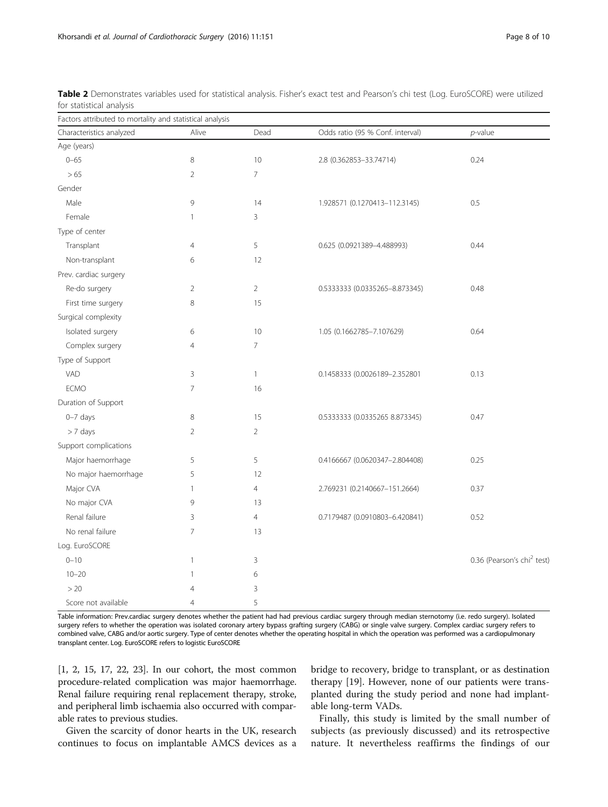| Factors attributed to mortality and statistical analysis |                |                |                                  |                                        |  |
|----------------------------------------------------------|----------------|----------------|----------------------------------|----------------------------------------|--|
| Characteristics analyzed                                 | Alive          | Dead           | Odds ratio (95 % Conf. interval) | $p$ -value                             |  |
| Age (years)                                              |                |                |                                  |                                        |  |
| $0 - 65$                                                 | 8              | 10             | 2.8 (0.362853-33.74714)          | 0.24                                   |  |
| > 65                                                     | $\overline{2}$ | $\overline{7}$ |                                  |                                        |  |
| Gender                                                   |                |                |                                  |                                        |  |
| Male                                                     | 9              | 14             | 1.928571 (0.1270413-112.3145)    | 0.5                                    |  |
| Female                                                   | $\mathbf{1}$   | 3              |                                  |                                        |  |
| Type of center                                           |                |                |                                  |                                        |  |
| Transplant                                               | $\overline{4}$ | 5              | 0.625 (0.0921389-4.488993)       | 0.44                                   |  |
| Non-transplant                                           | 6              | 12             |                                  |                                        |  |
| Prev. cardiac surgery                                    |                |                |                                  |                                        |  |
| Re-do surgery                                            | 2              | $\overline{2}$ | 0.5333333 (0.0335265-8.873345)   | 0.48                                   |  |
| First time surgery                                       | 8              | 15             |                                  |                                        |  |
| Surgical complexity                                      |                |                |                                  |                                        |  |
| Isolated surgery                                         | 6              | 10             | 1.05 (0.1662785-7.107629)        | 0.64                                   |  |
| Complex surgery                                          | $\overline{4}$ | $\overline{7}$ |                                  |                                        |  |
| Type of Support                                          |                |                |                                  |                                        |  |
| VAD                                                      | 3              | $\mathbf{1}$   | 0.1458333 (0.0026189-2.352801    | 0.13                                   |  |
| <b>ECMO</b>                                              | $\overline{7}$ | 16             |                                  |                                        |  |
| Duration of Support                                      |                |                |                                  |                                        |  |
| $0-7$ days                                               | 8              | 15             | 0.5333333 (0.0335265 8.873345)   | 0.47                                   |  |
| $> 7$ days                                               | $\overline{2}$ | $\overline{2}$ |                                  |                                        |  |
| Support complications                                    |                |                |                                  |                                        |  |
| Major haemorrhage                                        | 5              | 5              | 0.4166667 (0.0620347-2.804408)   | 0.25                                   |  |
| No major haemorrhage                                     | 5              | 12             |                                  |                                        |  |
| Major CVA                                                | 1              | $\overline{4}$ | 2.769231 (0.2140667-151.2664)    | 0.37                                   |  |
| No major CVA                                             | 9              | 13             |                                  |                                        |  |
| Renal failure                                            | 3              | $\overline{4}$ | 0.7179487 (0.0910803-6.420841)   | 0.52                                   |  |
| No renal failure                                         | $\overline{7}$ | 13             |                                  |                                        |  |
| Log. EuroSCORE                                           |                |                |                                  |                                        |  |
| $0 - 10$                                                 | $\mathbf{1}$   | 3              |                                  | 0.36 (Pearson's chi <sup>2</sup> test) |  |
| $10 - 20$                                                | $\mathbf{1}$   | 6              |                                  |                                        |  |
| >20                                                      | $\overline{4}$ | 3              |                                  |                                        |  |
| Score not available                                      | $\overline{4}$ | 5              |                                  |                                        |  |

<span id="page-7-0"></span>Table 2 Demonstrates variables used for statistical analysis. Fisher's exact test and Pearson's chi test (Log. EuroSCORE) were utilized for statistical analysis

Table information: Prev.cardiac surgery denotes whether the patient had had previous cardiac surgery through median sternotomy (i.e. redo surgery). Isolated surgery refers to whether the operation was isolated coronary artery bypass grafting surgery (CABG) or single valve surgery. Complex cardiac surgery refers to combined valve, CABG and/or aortic surgery. Type of center denotes whether the operating hospital in which the operation was performed was a cardiopulmonary transplant center. Log. EuroSCORE refers to logistic EuroSCORE

[[1, 2, 15, 17,](#page-8-0) [22, 23](#page-9-0)]. In our cohort, the most common procedure-related complication was major haemorrhage. Renal failure requiring renal replacement therapy, stroke, and peripheral limb ischaemia also occurred with comparable rates to previous studies.

bridge to recovery, bridge to transplant, or as destination therapy [\[19\]](#page-9-0). However, none of our patients were transplanted during the study period and none had implantable long-term VADs.

Given the scarcity of donor hearts in the UK, research continues to focus on implantable AMCS devices as a

Finally, this study is limited by the small number of subjects (as previously discussed) and its retrospective nature. It nevertheless reaffirms the findings of our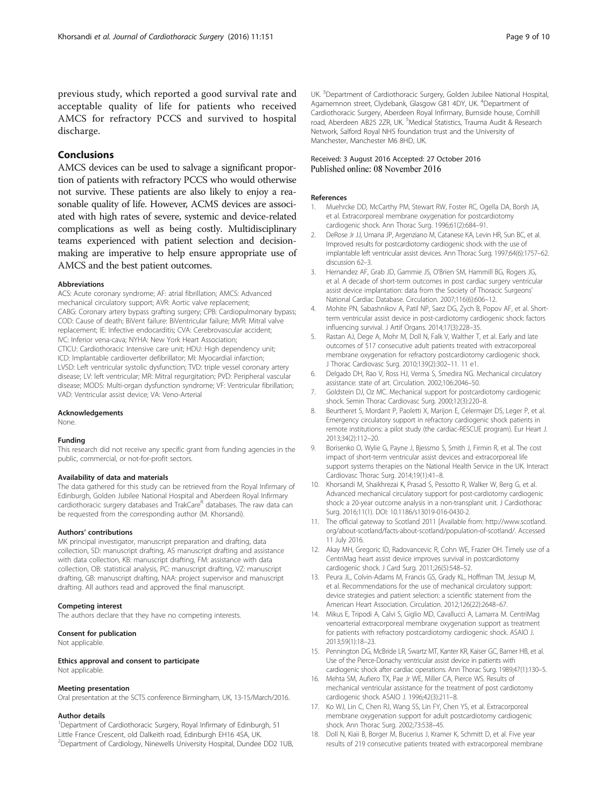<span id="page-8-0"></span>previous study, which reported a good survival rate and acceptable quality of life for patients who received AMCS for refractory PCCS and survived to hospital discharge.

## Conclusions

AMCS devices can be used to salvage a significant proportion of patients with refractory PCCS who would otherwise not survive. These patients are also likely to enjoy a reasonable quality of life. However, ACMS devices are associated with high rates of severe, systemic and device-related complications as well as being costly. Multidisciplinary teams experienced with patient selection and decisionmaking are imperative to help ensure appropriate use of AMCS and the best patient outcomes.

#### Abbreviations

ACS: Acute coronary syndrome; AF: atrial fibrillation; AMCS: Advanced mechanical circulatory support; AVR: Aortic valve replacement; CABG: Coronary artery bypass grafting surgery; CPB: Cardiopulmonary bypass; COD: Cause of death; BiVent failure: BiVentricular failure; MVR: Mitral valve replacement; IE: Infective endocarditis; CVA: Cerebrovascular accident; IVC: Inferior vena-cava; NYHA: New York Heart Association; CTICU: Cardiothoracic Intensive care unit; HDU: High dependency unit; ICD: Implantable cardioverter defibrillator; MI: Myocardial infarction; LVSD: Left ventricular systolic dysfunction; TVD: triple vessel coronary artery disease; LV: left ventricular; MR: Mitral regurgitation; PVD: Peripheral vascular disease; MODS: Multi-organ dysfunction syndrome; VF: Ventricular fibrillation; VAD: Ventricular assist device; VA: Veno-Arterial

#### Acknowledgements

None.

#### Funding

This research did not receive any specific grant from funding agencies in the public, commercial, or not-for-profit sectors.

### Availability of data and materials

The data gathered for this study can be retrieved from the Royal Infirmary of Edinburgh, Golden Jubilee National Hospital and Aberdeen Royal Infirmary cardiothoracic surgery databases and TrakCare<sup>R</sup> databases. The raw data can be requested from the corresponding author (M. Khorsandi).

#### Authors' contributions

MK principal investigator, manuscript preparation and drafting, data collection, SD: manuscript drafting, AS manuscript drafting and assistance with data collection, KB: manuscript drafting, FM: assistance with data collection, OB: statistical analysis, PC: manuscript drafting, VZ: manuscript drafting, GB: manuscript drafting, NAA: project supervisor and manuscript drafting. All authors read and approved the final manuscript.

#### Competing interest

The authors declare that they have no competing interests.

#### Consent for publication

Not applicable.

Ethics approval and consent to participate Not applicable.

#### Meeting presentation

Oral presentation at the SCTS conference Birmingham, UK, 13-15/March/2016.

#### Author details

<sup>1</sup>Department of Cardiothoracic Surgery, Royal Infirmary of Edinburgh, 51 Little France Crescent, old Dalkeith road, Edinburgh EH16 4SA, UK. 2 Department of Cardiology, Ninewells University Hospital, Dundee DD2 1UB,

UK. <sup>3</sup> Department of Cardiothoracic Surgery, Golden Jubilee National Hospital, Agamemnon street, Clydebank, Glasgow G81 4DY, UK. <sup>4</sup>Department of Cardiothoracic Surgery, Aberdeen Royal Infirmary, Burnside house, Cornhill road, Aberdeen AB25 2ZR, UK. <sup>5</sup>Medical Statistics, Trauma Audit & Research Network, Salford Royal NHS foundation trust and the University of Manchester, Manchester M6 8HD, UK.

#### Received: 3 August 2016 Accepted: 27 October 2016 Published online: 08 November 2016

#### References

- 1. Muehrcke DD, McCarthy PM, Stewart RW, Foster RC, Ogella DA, Borsh JA, et al. Extracorporeal membrane oxygenation for postcardiotomy cardiogenic shock. Ann Thorac Surg. 1996;61(2):684–91.
- 2. DeRose Jr JJ, Umana JP, Argenziano M, Catanese KA, Levin HR, Sun BC, et al. Improved results for postcardiotomy cardiogenic shock with the use of implantable left ventricular assist devices. Ann Thorac Surg. 1997;64(6):1757–62. discussion 62–3.
- 3. Hernandez AF, Grab JD, Gammie JS, O'Brien SM, Hammill BG, Rogers JG, et al. A decade of short-term outcomes in post cardiac surgery ventricular assist device implantation: data from the Society of Thoracic Surgeons' National Cardiac Database. Circulation. 2007;116(6):606–12.
- 4. Mohite PN, Sabashnikov A, Patil NP, Saez DG, Zych B, Popov AF, et al. Shortterm ventricular assist device in post-cardiotomy cardiogenic shock: factors influencing survival. J Artif Organs. 2014;17(3):228–35.
- 5. Rastan AJ, Dege A, Mohr M, Doll N, Falk V, Walther T, et al. Early and late outcomes of 517 consecutive adult patients treated with extracorporeal membrane oxygenation for refractory postcardiotomy cardiogenic shock. J Thorac Cardiovasc Surg. 2010;139(2):302–11. 11 e1.
- 6. Delgado DH, Rao V, Ross HJ, Verma S, Smedira NG. Mechanical circulatory assistance: state of art. Circulation. 2002;106:2046–50.
- 7. Goldstein DJ, Oz MC. Mechanical support for postcardiotomy cardiogenic shock. Semin Thorac Cardiovasc Surg. 2000;12(3):220–8.
- 8. Beurtheret S, Mordant P, Paoletti X, Marijon E, Celermajer DS, Leger P, et al. Emergency circulatory support in refractory cardiogenic shock patients in remote institutions: a pilot study (the cardiac-RESCUE program). Eur Heart J. 2013;34(2):112–20.
- 9. Borisenko O, Wylie G, Payne J, Bjessmo S, Smith J, Firmin R, et al. The cost impact of short-term ventricular assist devices and extracorporeal life support systems therapies on the National Health Service in the UK. Interact Cardiovasc Thorac Surg. 2014;19(1):41–8.
- 10. Khorsandi M, Shaikhrezai K, Prasad S, Pessotto R, Walker W, Berg G, et al. Advanced mechanical circulatory support for post-cardiotomy cardiogenic shock: a 20-year outcome analysis in a non-transplant unit. J Cardiothorac Surg. 2016;11(1). DOI: [10.1186/s13019-016-0430-2.](http://dx.doi.org/10.1186/s13019-016-0430-2)
- 11. The official gateway to Scotland 2011 [Available from: [http://www.scotland.](http://www.scotland.org/about-scotland/facts-about-scotland/population-of-scotland/) [org/about-scotland/facts-about-scotland/population-of-scotland/.](http://www.scotland.org/about-scotland/facts-about-scotland/population-of-scotland/) Accessed 11 July 2016.
- 12. Akay MH, Gregoric ID, Radovancevic R, Cohn WE, Frazier OH. Timely use of a CentriMag heart assist device improves survival in postcardiotomy cardiogenic shock. J Card Surg. 2011;26(5):548–52.
- 13. Peura JL, Colvin-Adams M, Francis GS, Grady KL, Hoffman TM, Jessup M, et al. Recommendations for the use of mechanical circulatory support: device strategies and patient selection: a scientific statement from the American Heart Association. Circulation. 2012;126(22):2648–67.
- 14. Mikus E, Tripodi A, Calvi S, Giglio MD, Cavallucci A, Lamarra M. CentriMag venoarterial extracorporeal membrane oxygenation support as treatment for patients with refractory postcardiotomy cardiogenic shock. ASAIO J. 2013;59(1):18–23.
- 15. Pennington DG, McBride LR, Swartz MT, Kanter KR, Kaiser GC, Barner HB, et al. Use of the Pierce-Donachy ventricular assist device in patients with cardiogenic shock after cardiac operations. Ann Thorac Surg. 1989;47(1):130–5.
- 16. Mehta SM, Aufiero TX, Pae Jr WE, Miller CA, Pierce WS. Results of mechanical ventricular assistance for the treatment of post cardiotomy cardiogenic shock. ASAIO J. 1996;42(3):211–8.
- 17. Ko WJ, Lin C, Chen RJ, Wang SS, Lin FY, Chen YS, et al. Extracorporeal membrane oxygenation support for adult postcardiotomy cardiogenic shock. Ann Thorac Surg. 2002;73:538–45.
- 18. Doll N, Kiaii B, Borger M, Bucerius J, Kramer K, Schmitt D, et al. Five year results of 219 consecutive patients treated with extracorporeal membrane